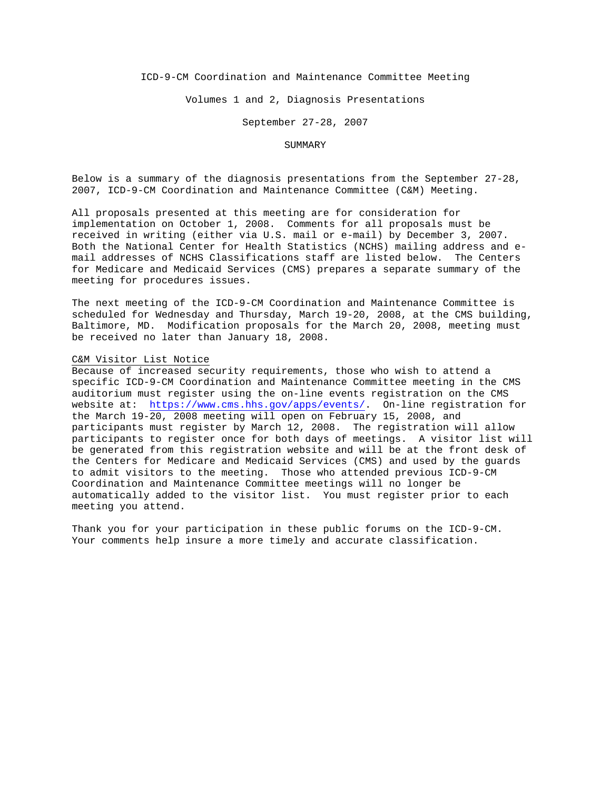ICD-9-CM Coordination and Maintenance Committee Meeting

Volumes 1 and 2, Diagnosis Presentations

September 27-28, 2007

#### SUMMARY

Below is a summary of the diagnosis presentations from the September 27-28, 2007, ICD-9-CM Coordination and Maintenance Committee (C&M) Meeting.

All proposals presented at this meeting are for consideration for implementation on October 1, 2008. Comments for all proposals must be received in writing (either via U.S. mail or e-mail) by December 3, 2007. Both the National Center for Health Statistics (NCHS) mailing address and email addresses of NCHS Classifications staff are listed below. The Centers for Medicare and Medicaid Services (CMS) prepares a separate summary of the meeting for procedures issues.

The next meeting of the ICD-9-CM Coordination and Maintenance Committee is scheduled for Wednesday and Thursday, March 19-20, 2008, at the CMS building, Baltimore, MD. Modification proposals for the March 20, 2008, meeting must be received no later than January 18, 2008.

#### C&M Visitor List Notice

Because of increased security requirements, those who wish to attend a specific ICD-9-CM Coordination and Maintenance Committee meeting in the CMS auditorium must register using the on-line events registration on the CMS website at: <https://www.cms.hhs.gov/apps/events/>. On-line registration for the March 19-20, 2008 meeting will open on February 15, 2008, and participants must register by March 12, 2008. The registration will allow participants to register once for both days of meetings. A visitor list will be generated from this registration website and will be at the front desk of the Centers for Medicare and Medicaid Services (CMS) and used by the guards to admit visitors to the meeting. Those who attended previous ICD-9-CM Coordination and Maintenance Committee meetings will no longer be automatically added to the visitor list. You must register prior to each meeting you attend.

Thank you for your participation in these public forums on the ICD-9-CM. Your comments help insure a more timely and accurate classification.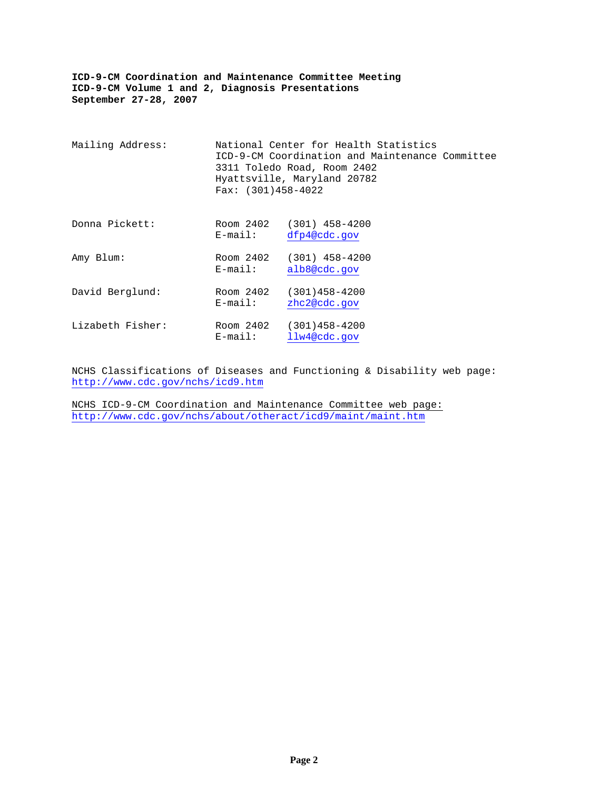| Mailing Address: | Fax: $(301)458-4022$    | National Center for Health Statistics<br>ICD-9-CM Coordination and Maintenance Committee<br>3311 Toledo Road, Room 2402<br>Hyattsville, Maryland 20782 |  |
|------------------|-------------------------|--------------------------------------------------------------------------------------------------------------------------------------------------------|--|
| Donna Pickett:   | Room 2402<br>$E$ -mail: | $(301)$ 458-4200<br>dfp4@cdc.gov                                                                                                                       |  |
| Amy Blum:        | Room 2402<br>E-mail:    | $(301)$ 458-4200<br>alb8@cdc.gov                                                                                                                       |  |
| David Berglund:  | Room 2402<br>$E$ -mail: | $(301)458 - 4200$<br>zhc2@cdc.gov                                                                                                                      |  |
| Lizabeth Fisher: | Room 2402<br>$E$ -mail: | $(301)458 - 4200$<br>llw4@cdc.gov                                                                                                                      |  |

NCHS Classifications of Diseases and Functioning & Disability web page: <http://www.cdc.gov/nchs/icd9.htm>

NCHS ICD-9-CM Coordination and Maintenance Committee web page: <http://www.cdc.gov/nchs/about/otheract/icd9/maint/maint.htm>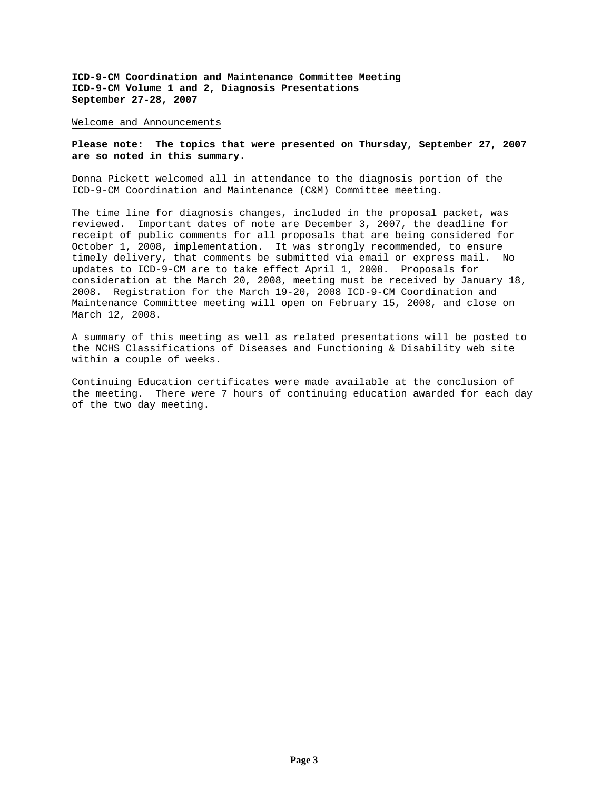Welcome and Announcements

## **Please note: The topics that were presented on Thursday, September 27, 2007 are so noted in this summary.**

Donna Pickett welcomed all in attendance to the diagnosis portion of the ICD-9-CM Coordination and Maintenance (C&M) Committee meeting.

The time line for diagnosis changes, included in the proposal packet, was reviewed. Important dates of note are December 3, 2007, the deadline for receipt of public comments for all proposals that are being considered for October 1, 2008, implementation. It was strongly recommended, to ensure timely delivery, that comments be submitted via email or express mail. No updates to ICD-9-CM are to take effect April 1, 2008. Proposals for consideration at the March 20, 2008, meeting must be received by January 18, 2008. Registration for the March 19-20, 2008 ICD-9-CM Coordination and Maintenance Committee meeting will open on February 15, 2008, and close on March 12, 2008.

A summary of this meeting as well as related presentations will be posted to the NCHS Classifications of Diseases and Functioning & Disability web site within a couple of weeks.

Continuing Education certificates were made available at the conclusion of the meeting. There were 7 hours of continuing education awarded for each day of the two day meeting.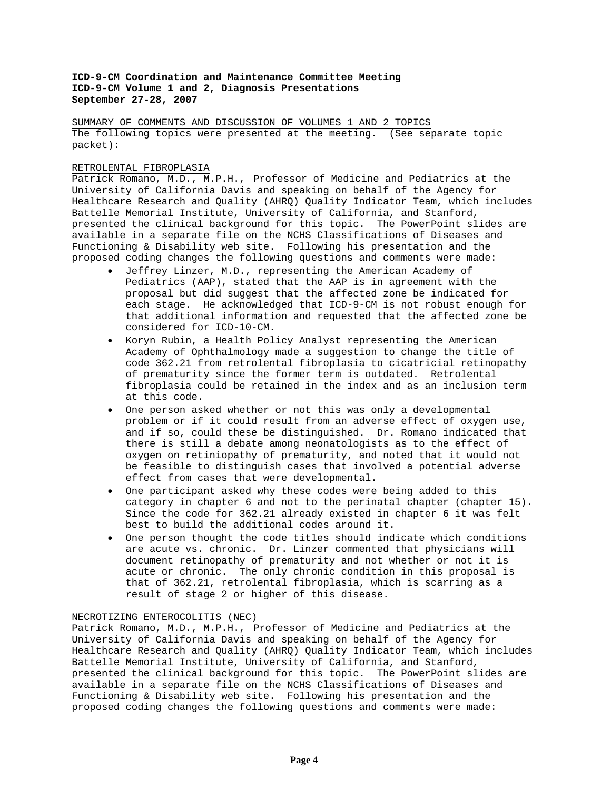SUMMARY OF COMMENTS AND DISCUSSION OF VOLUMES 1 AND 2 TOPICS The following topics were presented at the meeting. (See separate topic packet):

# RETROLENTAL FIBROPLASIA

Patrick Romano, M.D., M.P.H., Professor of Medicine and Pediatrics at the University of California Davis and speaking on behalf of the Agency for Healthcare Research and Quality (AHRQ) Quality Indicator Team, which includes Battelle Memorial Institute, University of California, and Stanford, presented the clinical background for this topic. The PowerPoint slides are available in a separate file on the NCHS Classifications of Diseases and Functioning & Disability web site. Following his presentation and the proposed coding changes the following questions and comments were made:

- Jeffrey Linzer, M.D., representing the American Academy of Pediatrics (AAP), stated that the AAP is in agreement with the proposal but did suggest that the affected zone be indicated for each stage. He acknowledged that ICD-9-CM is not robust enough for that additional information and requested that the affected zone be considered for ICD-10-CM.
- Koryn Rubin, a Health Policy Analyst representing the American Academy of Ophthalmology made a suggestion to change the title of code 362.21 from retrolental fibroplasia to cicatricial retinopathy of prematurity since the former term is outdated. Retrolental fibroplasia could be retained in the index and as an inclusion term at this code.
- One person asked whether or not this was only a developmental problem or if it could result from an adverse effect of oxygen use, and if so, could these be distinguished. Dr. Romano indicated that there is still a debate among neonatologists as to the effect of oxygen on retiniopathy of prematurity, and noted that it would not be feasible to distinguish cases that involved a potential adverse effect from cases that were developmental.
- One participant asked why these codes were being added to this category in chapter 6 and not to the perinatal chapter (chapter 15). Since the code for 362.21 already existed in chapter 6 it was felt best to build the additional codes around it.
- One person thought the code titles should indicate which conditions are acute vs. chronic. Dr. Linzer commented that physicians will document retinopathy of prematurity and not whether or not it is acute or chronic. The only chronic condition in this proposal is that of 362.21, retrolental fibroplasia, which is scarring as a result of stage 2 or higher of this disease.

## NECROTIZING ENTEROCOLITIS (NEC)

Patrick Romano, M.D., M.P.H., Professor of Medicine and Pediatrics at the University of California Davis and speaking on behalf of the Agency for Healthcare Research and Quality (AHRQ) Quality Indicator Team, which includes Battelle Memorial Institute, University of California, and Stanford, presented the clinical background for this topic. The PowerPoint slides are available in a separate file on the NCHS Classifications of Diseases and Functioning & Disability web site. Following his presentation and the proposed coding changes the following questions and comments were made: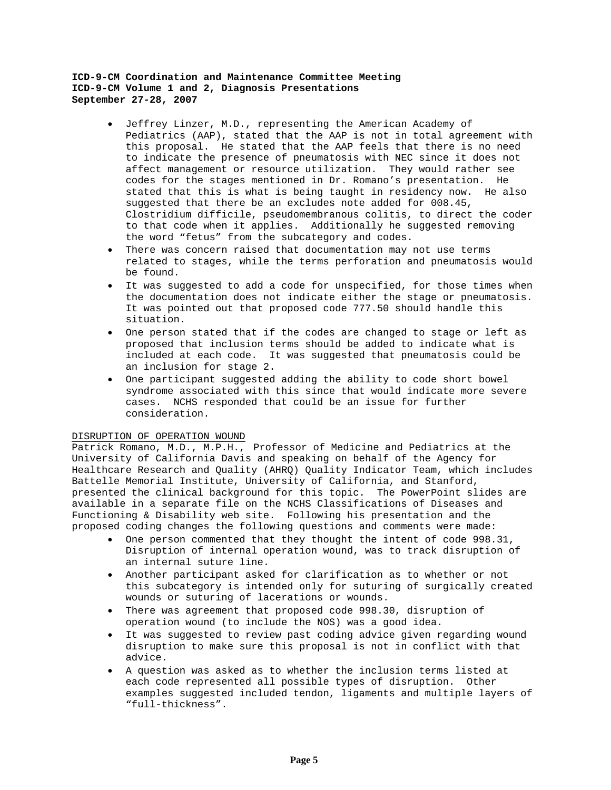- Jeffrey Linzer, M.D., representing the American Academy of Pediatrics (AAP), stated that the AAP is not in total agreement with this proposal. He stated that the AAP feels that there is no need to indicate the presence of pneumatosis with NEC since it does not affect management or resource utilization. They would rather see codes for the stages mentioned in Dr. Romano's presentation. He stated that this is what is being taught in residency now. He also suggested that there be an excludes note added for 008.45, Clostridium difficile, pseudomembranous colitis, to direct the coder to that code when it applies. Additionally he suggested removing the word "fetus" from the subcategory and codes.
- There was concern raised that documentation may not use terms related to stages, while the terms perforation and pneumatosis would be found.
- It was suggested to add a code for unspecified, for those times when the documentation does not indicate either the stage or pneumatosis. It was pointed out that proposed code 777.50 should handle this situation.
- One person stated that if the codes are changed to stage or left as proposed that inclusion terms should be added to indicate what is included at each code. It was suggested that pneumatosis could be an inclusion for stage 2.
- One participant suggested adding the ability to code short bowel syndrome associated with this since that would indicate more severe cases. NCHS responded that could be an issue for further consideration.

# DISRUPTION OF OPERATION WOUND

Patrick Romano, M.D., M.P.H., Professor of Medicine and Pediatrics at the University of California Davis and speaking on behalf of the Agency for Healthcare Research and Quality (AHRQ) Quality Indicator Team, which includes Battelle Memorial Institute, University of California, and Stanford, presented the clinical background for this topic. The PowerPoint slides are available in a separate file on the NCHS Classifications of Diseases and Functioning & Disability web site. Following his presentation and the proposed coding changes the following questions and comments were made:

- One person commented that they thought the intent of code 998.31, Disruption of internal operation wound, was to track disruption of an internal suture line.
- Another participant asked for clarification as to whether or not this subcategory is intended only for suturing of surgically created wounds or suturing of lacerations or wounds.
- There was agreement that proposed code 998.30, disruption of operation wound (to include the NOS) was a good idea.
- It was suggested to review past coding advice given regarding wound disruption to make sure this proposal is not in conflict with that advice.
- A question was asked as to whether the inclusion terms listed at each code represented all possible types of disruption. Other examples suggested included tendon, ligaments and multiple layers of "full-thickness".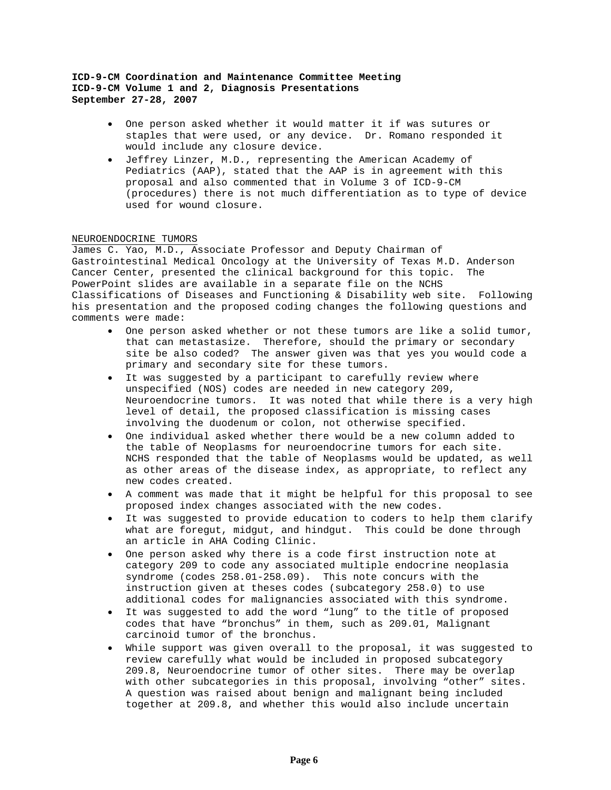- One person asked whether it would matter it if was sutures or staples that were used, or any device. Dr. Romano responded it would include any closure device.
- Jeffrey Linzer, M.D., representing the American Academy of Pediatrics (AAP), stated that the AAP is in agreement with this proposal and also commented that in Volume 3 of ICD-9-CM (procedures) there is not much differentiation as to type of device used for wound closure.

## NEUROENDOCRINE TUMORS

James C. Yao, M.D., Associate Professor and Deputy Chairman of Gastrointestinal Medical Oncology at the University of Texas M.D. Anderson Cancer Center, presented the clinical background for this topic. The PowerPoint slides are available in a separate file on the NCHS Classifications of Diseases and Functioning & Disability web site. Following his presentation and the proposed coding changes the following questions and comments were made:

- One person asked whether or not these tumors are like a solid tumor, that can metastasize. Therefore, should the primary or secondary site be also coded? The answer given was that yes you would code a primary and secondary site for these tumors.
- It was suggested by a participant to carefully review where unspecified (NOS) codes are needed in new category 209, Neuroendocrine tumors. It was noted that while there is a very high level of detail, the proposed classification is missing cases involving the duodenum or colon, not otherwise specified.
- One individual asked whether there would be a new column added to the table of Neoplasms for neuroendocrine tumors for each site. NCHS responded that the table of Neoplasms would be updated, as well as other areas of the disease index, as appropriate, to reflect any new codes created.
- A comment was made that it might be helpful for this proposal to see proposed index changes associated with the new codes.
- It was suggested to provide education to coders to help them clarify what are foregut, midgut, and hindgut. This could be done through an article in AHA Coding Clinic.
- One person asked why there is a code first instruction note at category 209 to code any associated multiple endocrine neoplasia syndrome (codes 258.01-258.09). This note concurs with the instruction given at theses codes (subcategory 258.0) to use additional codes for malignancies associated with this syndrome.
- It was suggested to add the word "lung" to the title of proposed codes that have "bronchus" in them, such as 209.01, Malignant carcinoid tumor of the bronchus.
- While support was given overall to the proposal, it was suggested to review carefully what would be included in proposed subcategory 209.8, Neuroendocrine tumor of other sites. There may be overlap with other subcategories in this proposal, involving "other" sites. A question was raised about benign and malignant being included together at 209.8, and whether this would also include uncertain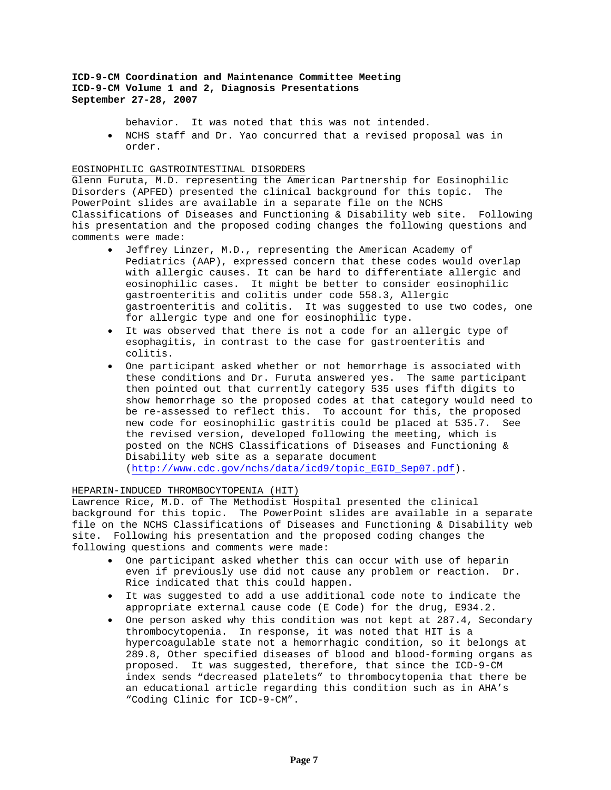behavior. It was noted that this was not intended.

• NCHS staff and Dr. Yao concurred that a revised proposal was in order.

## EOSINOPHILIC GASTROINTESTINAL DISORDERS

Glenn Furuta, M.D. representing the American Partnership for Eosinophilic Disorders (APFED) presented the clinical background for this topic. The PowerPoint slides are available in a separate file on the NCHS Classifications of Diseases and Functioning & Disability web site. Following his presentation and the proposed coding changes the following questions and comments were made:

- Jeffrey Linzer, M.D., representing the American Academy of Pediatrics (AAP), expressed concern that these codes would overlap with allergic causes. It can be hard to differentiate allergic and eosinophilic cases. It might be better to consider eosinophilic gastroenteritis and colitis under code 558.3, Allergic gastroenteritis and colitis. It was suggested to use two codes, one for allergic type and one for eosinophilic type.
- It was observed that there is not a code for an allergic type of esophagitis, in contrast to the case for gastroenteritis and colitis.
- One participant asked whether or not hemorrhage is associated with these conditions and Dr. Furuta answered yes. The same participant then pointed out that currently category 535 uses fifth digits to show hemorrhage so the proposed codes at that category would need to be re-assessed to reflect this. To account for this, the proposed new code for eosinophilic gastritis could be placed at 535.7. See the revised version, developed following the meeting, which is posted on the NCHS Classifications of Diseases and Functioning & Disability web site as a separate document [\(http://www.cdc.gov/nchs/data/icd9/topic\\_EGID\\_Sep07.pdf](http://www.cdc.gov/nchs/data/icd9/topic_EGID_Sep07.pdf)).

## HEPARIN-INDUCED THROMBOCYTOPENIA (HIT)

Lawrence Rice, M.D. of The Methodist Hospital presented the clinical background for this topic. The PowerPoint slides are available in a separate file on the NCHS Classifications of Diseases and Functioning & Disability web site. Following his presentation and the proposed coding changes the following questions and comments were made:

- One participant asked whether this can occur with use of heparin even if previously use did not cause any problem or reaction. Dr. Rice indicated that this could happen.
- It was suggested to add a use additional code note to indicate the appropriate external cause code (E Code) for the drug, E934.2.
- One person asked why this condition was not kept at 287.4, Secondary thrombocytopenia. In response, it was noted that HIT is a hypercoagulable state not a hemorrhagic condition, so it belongs at 289.8, Other specified diseases of blood and blood-forming organs as proposed. It was suggested, therefore, that since the ICD-9-CM index sends "decreased platelets" to thrombocytopenia that there be an educational article regarding this condition such as in AHA's "Coding Clinic for ICD-9-CM".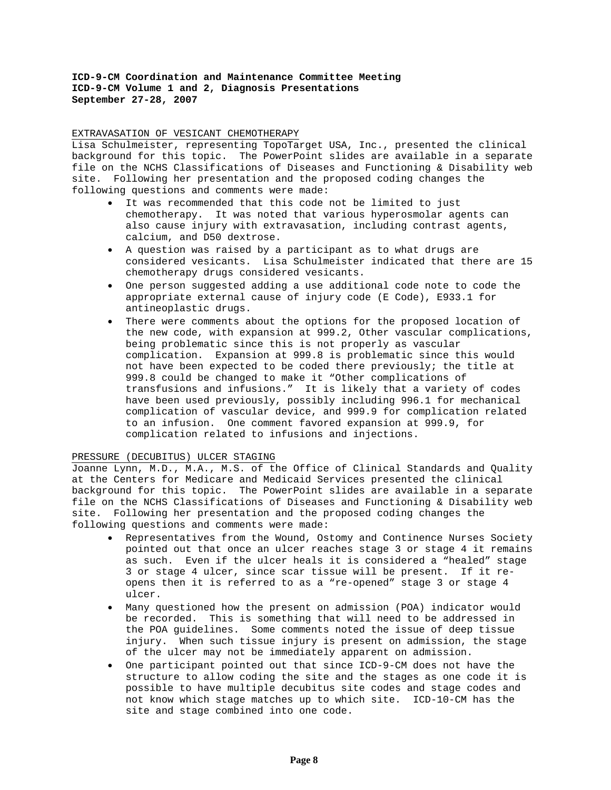## EXTRAVASATION OF VESICANT CHEMOTHERAPY

Lisa Schulmeister, representing TopoTarget USA, Inc., presented the clinical background for this topic. The PowerPoint slides are available in a separate file on the NCHS Classifications of Diseases and Functioning & Disability web site. Following her presentation and the proposed coding changes the following questions and comments were made:

- It was recommended that this code not be limited to just chemotherapy. It was noted that various hyperosmolar agents can also cause injury with extravasation, including contrast agents, calcium, and D50 dextrose.
- A question was raised by a participant as to what drugs are considered vesicants. Lisa Schulmeister indicated that there are 15 chemotherapy drugs considered vesicants.
- One person suggested adding a use additional code note to code the appropriate external cause of injury code (E Code), E933.1 for antineoplastic drugs.
- There were comments about the options for the proposed location of the new code, with expansion at 999.2, Other vascular complications, being problematic since this is not properly as vascular complication. Expansion at 999.8 is problematic since this would not have been expected to be coded there previously; the title at 999.8 could be changed to make it "Other complications of transfusions and infusions." It is likely that a variety of codes have been used previously, possibly including 996.1 for mechanical complication of vascular device, and 999.9 for complication related to an infusion. One comment favored expansion at 999.9, for complication related to infusions and injections.

#### PRESSURE (DECUBITUS) ULCER STAGING

Joanne Lynn, M.D., M.A., M.S. of the Office of Clinical Standards and Quality at the Centers for Medicare and Medicaid Services presented the clinical background for this topic. The PowerPoint slides are available in a separate file on the NCHS Classifications of Diseases and Functioning & Disability web site. Following her presentation and the proposed coding changes the following questions and comments were made:

- Representatives from the Wound, Ostomy and Continence Nurses Society pointed out that once an ulcer reaches stage 3 or stage 4 it remains as such. Even if the ulcer heals it is considered a "healed" stage 3 or stage 4 ulcer, since scar tissue will be present. If it reopens then it is referred to as a "re-opened" stage 3 or stage 4 ulcer.
- Many questioned how the present on admission (POA) indicator would be recorded. This is something that will need to be addressed in the POA guidelines. Some comments noted the issue of deep tissue injury. When such tissue injury is present on admission, the stage of the ulcer may not be immediately apparent on admission.
- One participant pointed out that since ICD-9-CM does not have the structure to allow coding the site and the stages as one code it is possible to have multiple decubitus site codes and stage codes and not know which stage matches up to which site. ICD-10-CM has the site and stage combined into one code.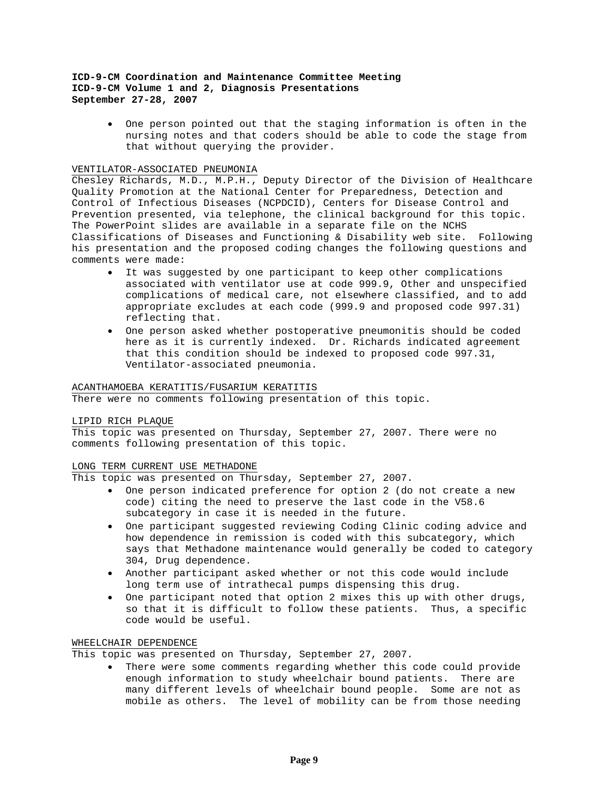• One person pointed out that the staging information is often in the nursing notes and that coders should be able to code the stage from that without querying the provider.

## VENTILATOR-ASSOCIATED PNEUMONIA

Chesley Richards, M.D., M.P.H., Deputy Director of the Division of Healthcare Quality Promotion at the National Center for Preparedness, Detection and Control of Infectious Diseases (NCPDCID), Centers for Disease Control and Prevention presented, via telephone, the clinical background for this topic. The PowerPoint slides are available in a separate file on the NCHS Classifications of Diseases and Functioning & Disability web site. Following his presentation and the proposed coding changes the following questions and comments were made:

- It was suggested by one participant to keep other complications associated with ventilator use at code 999.9, Other and unspecified complications of medical care, not elsewhere classified, and to add appropriate excludes at each code (999.9 and proposed code 997.31) reflecting that.
- One person asked whether postoperative pneumonitis should be coded here as it is currently indexed. Dr. Richards indicated agreement that this condition should be indexed to proposed code 997.31, Ventilator-associated pneumonia.

# ACANTHAMOEBA KERATITIS/FUSARIUM KERATITIS

There were no comments following presentation of this topic.

### LIPID RICH PLAQUE

This topic was presented on Thursday, September 27, 2007. There were no comments following presentation of this topic.

### LONG TERM CURRENT USE METHADONE

This topic was presented on Thursday, September 27, 2007.

- One person indicated preference for option 2 (do not create a new code) citing the need to preserve the last code in the V58.6 subcategory in case it is needed in the future.
- One participant suggested reviewing Coding Clinic coding advice and how dependence in remission is coded with this subcategory, which says that Methadone maintenance would generally be coded to category 304, Drug dependence.
- Another participant asked whether or not this code would include long term use of intrathecal pumps dispensing this drug.
- One participant noted that option 2 mixes this up with other drugs, so that it is difficult to follow these patients. Thus, a specific code would be useful.

# WHEELCHAIR DEPENDENCE

This topic was presented on Thursday, September 27, 2007.

• There were some comments regarding whether this code could provide enough information to study wheelchair bound patients. There are many different levels of wheelchair bound people. Some are not as mobile as others. The level of mobility can be from those needing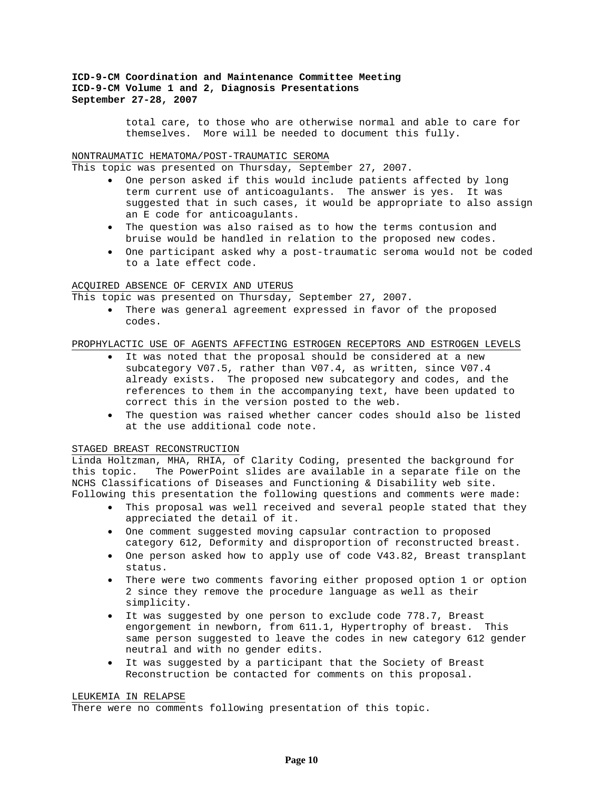> total care, to those who are otherwise normal and able to care for themselves. More will be needed to document this fully.

#### NONTRAUMATIC HEMATOMA/POST-TRAUMATIC SEROMA

This topic was presented on Thursday, September 27, 2007.

- One person asked if this would include patients affected by long term current use of anticoagulants. The answer is yes. It was suggested that in such cases, it would be appropriate to also assign an E code for anticoagulants.
- The question was also raised as to how the terms contusion and bruise would be handled in relation to the proposed new codes.
- One participant asked why a post-traumatic seroma would not be coded to a late effect code.

# ACQUIRED ABSENCE OF CERVIX AND UTERUS

This topic was presented on Thursday, September 27, 2007.

• There was general agreement expressed in favor of the proposed codes.

## PROPHYLACTIC USE OF AGENTS AFFECTING ESTROGEN RECEPTORS AND ESTROGEN LEVELS

- It was noted that the proposal should be considered at a new subcategory V07.5, rather than V07.4, as written, since V07.4 already exists. The proposed new subcategory and codes, and the references to them in the accompanying text, have been updated to correct this in the version posted to the web.
- The question was raised whether cancer codes should also be listed at the use additional code note.

## STAGED BREAST RECONSTRUCTION

Linda Holtzman, MHA, RHIA, of Clarity Coding, presented the background for this topic. The PowerPoint slides are available in a separate file on the NCHS Classifications of Diseases and Functioning & Disability web site. Following this presentation the following questions and comments were made:

- This proposal was well received and several people stated that they appreciated the detail of it.
- One comment suggested moving capsular contraction to proposed category 612, Deformity and disproportion of reconstructed breast.
- One person asked how to apply use of code V43.82, Breast transplant status.
- There were two comments favoring either proposed option 1 or option 2 since they remove the procedure language as well as their simplicity.
- It was suggested by one person to exclude code 778.7, Breast engorgement in newborn, from 611.1, Hypertrophy of breast. This same person suggested to leave the codes in new category 612 gender neutral and with no gender edits.
- It was suggested by a participant that the Society of Breast Reconstruction be contacted for comments on this proposal.

# LEUKEMIA IN RELAPSE

There were no comments following presentation of this topic.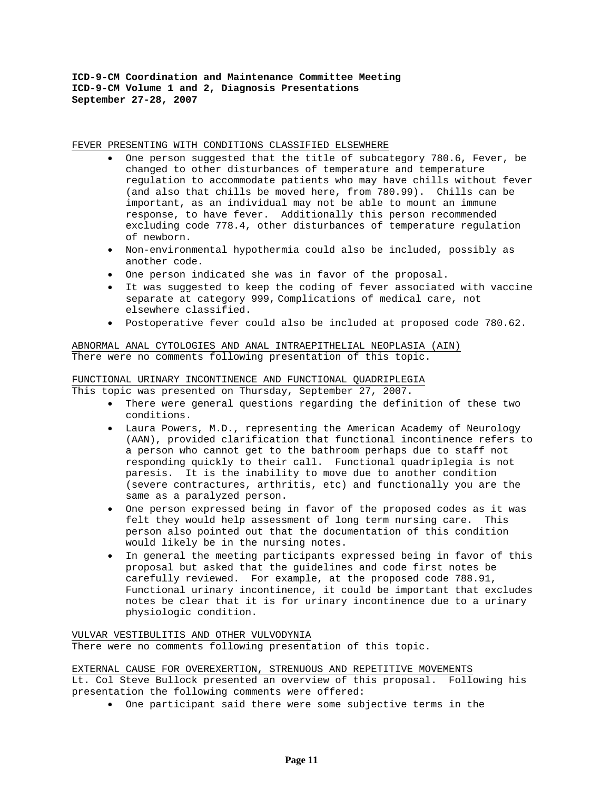#### FEVER PRESENTING WITH CONDITIONS CLASSIFIED ELSEWHERE

- One person suggested that the title of subcategory 780.6, Fever, be changed to other disturbances of temperature and temperature regulation to accommodate patients who may have chills without fever (and also that chills be moved here, from 780.99). Chills can be important, as an individual may not be able to mount an immune response, to have fever. Additionally this person recommended excluding code 778.4, other disturbances of temperature regulation of newborn.
- Non-environmental hypothermia could also be included, possibly as another code.
- One person indicated she was in favor of the proposal.
- It was suggested to keep the coding of fever associated with vaccine separate at category 999, Complications of medical care, not elsewhere classified.
- Postoperative fever could also be included at proposed code 780.62.

ABNORMAL ANAL CYTOLOGIES AND ANAL INTRAEPITHELIAL NEOPLASIA (AIN) There were no comments following presentation of this topic.

# FUNCTIONAL URINARY INCONTINENCE AND FUNCTIONAL QUADRIPLEGIA

This topic was presented on Thursday, September 27, 2007.

- There were general questions regarding the definition of these two conditions.
- Laura Powers, M.D., representing the American Academy of Neurology (AAN), provided clarification that functional incontinence refers to a person who cannot get to the bathroom perhaps due to staff not responding quickly to their call. Functional quadriplegia is not paresis. It is the inability to move due to another condition (severe contractures, arthritis, etc) and functionally you are the same as a paralyzed person.
- One person expressed being in favor of the proposed codes as it was felt they would help assessment of long term nursing care. This person also pointed out that the documentation of this condition would likely be in the nursing notes.
- In general the meeting participants expressed being in favor of this proposal but asked that the guidelines and code first notes be carefully reviewed. For example, at the proposed code 788.91, Functional urinary incontinence, it could be important that excludes notes be clear that it is for urinary incontinence due to a urinary physiologic condition.

VULVAR VESTIBULITIS AND OTHER VULVODYNIA There were no comments following presentation of this topic.

## EXTERNAL CAUSE FOR OVEREXERTION, STRENUOUS AND REPETITIVE MOVEMENTS

Lt. Col Steve Bullock presented an overview of this proposal. Following his presentation the following comments were offered:

• One participant said there were some subjective terms in the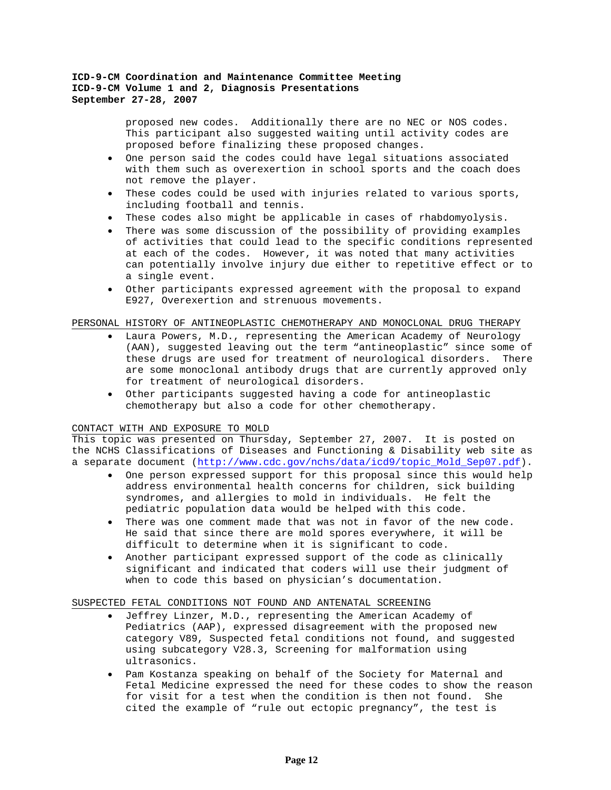proposed new codes. Additionally there are no NEC or NOS codes. This participant also suggested waiting until activity codes are proposed before finalizing these proposed changes.

- One person said the codes could have legal situations associated with them such as overexertion in school sports and the coach does not remove the player.
- These codes could be used with injuries related to various sports, including football and tennis.
- These codes also might be applicable in cases of rhabdomyolysis.
- There was some discussion of the possibility of providing examples of activities that could lead to the specific conditions represented at each of the codes. However, it was noted that many activities can potentially involve injury due either to repetitive effect or to a single event.
- Other participants expressed agreement with the proposal to expand E927, Overexertion and strenuous movements.

## PERSONAL HISTORY OF ANTINEOPLASTIC CHEMOTHERAPY AND MONOCLONAL DRUG THERAPY

- Laura Powers, M.D., representing the American Academy of Neurology (AAN), suggested leaving out the term "antineoplastic" since some of these drugs are used for treatment of neurological disorders. There are some monoclonal antibody drugs that are currently approved only for treatment of neurological disorders.
- Other participants suggested having a code for antineoplastic chemotherapy but also a code for other chemotherapy.

# CONTACT WITH AND EXPOSURE TO MOLD

This topic was presented on Thursday, September 27, 2007. It is posted on the NCHS Classifications of Diseases and Functioning & Disability web site as a separate document ([http://www.cdc.gov/nchs/data/icd9/topic\\_Mold\\_Sep07.pdf\)](http://www.cdc.gov/nchs/data/icd9/topic_Mold_Sep07.pdf).

- One person expressed support for this proposal since this would help address environmental health concerns for children, sick building syndromes, and allergies to mold in individuals. He felt the pediatric population data would be helped with this code.
- There was one comment made that was not in favor of the new code. He said that since there are mold spores everywhere, it will be difficult to determine when it is significant to code.
- Another participant expressed support of the code as clinically significant and indicated that coders will use their judgment of when to code this based on physician's documentation.

### SUSPECTED FETAL CONDITIONS NOT FOUND AND ANTENATAL SCREENING

- Jeffrey Linzer, M.D., representing the American Academy of Pediatrics (AAP), expressed disagreement with the proposed new category V89, Suspected fetal conditions not found, and suggested using subcategory V28.3, Screening for malformation using ultrasonics.
- Pam Kostanza speaking on behalf of the Society for Maternal and Fetal Medicine expressed the need for these codes to show the reason for visit for a test when the condition is then not found. She cited the example of "rule out ectopic pregnancy", the test is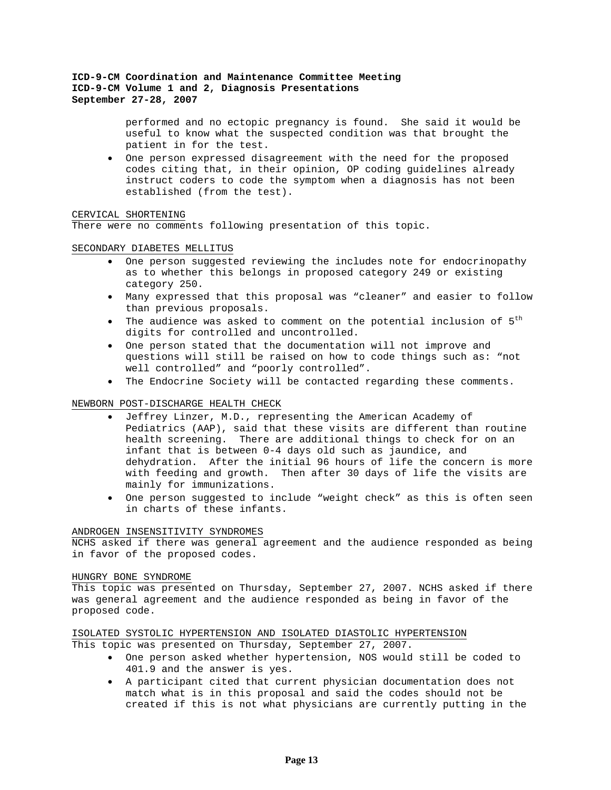performed and no ectopic pregnancy is found. She said it would be useful to know what the suspected condition was that brought the patient in for the test.

• One person expressed disagreement with the need for the proposed codes citing that, in their opinion, OP coding guidelines already instruct coders to code the symptom when a diagnosis has not been established (from the test).

### CERVICAL SHORTENING

There were no comments following presentation of this topic.

#### SECONDARY DIABETES MELLITUS

- One person suggested reviewing the includes note for endocrinopathy as to whether this belongs in proposed category 249 or existing category 250.
- Many expressed that this proposal was "cleaner" and easier to follow than previous proposals.
- The audience was asked to comment on the potential inclusion of  $5<sup>th</sup>$ digits for controlled and uncontrolled.
- One person stated that the documentation will not improve and questions will still be raised on how to code things such as: "not well controlled" and "poorly controlled".
- The Endocrine Society will be contacted regarding these comments.

### NEWBORN POST-DISCHARGE HEALTH CHECK

- Jeffrey Linzer, M.D., representing the American Academy of Pediatrics (AAP), said that these visits are different than routine health screening. There are additional things to check for on an infant that is between 0-4 days old such as jaundice, and dehydration. After the initial 96 hours of life the concern is more with feeding and growth. Then after 30 days of life the visits are mainly for immunizations.
- One person suggested to include "weight check" as this is often seen in charts of these infants.

#### ANDROGEN INSENSITIVITY SYNDROMES

NCHS asked if there was general agreement and the audience responded as being in favor of the proposed codes.

#### HUNGRY BONE SYNDROME

This topic was presented on Thursday, September 27, 2007. NCHS asked if there was general agreement and the audience responded as being in favor of the proposed code.

# ISOLATED SYSTOLIC HYPERTENSION AND ISOLATED DIASTOLIC HYPERTENSION This topic was presented on Thursday, September 27, 2007.

- One person asked whether hypertension, NOS would still be coded to 401.9 and the answer is yes.
- A participant cited that current physician documentation does not match what is in this proposal and said the codes should not be created if this is not what physicians are currently putting in the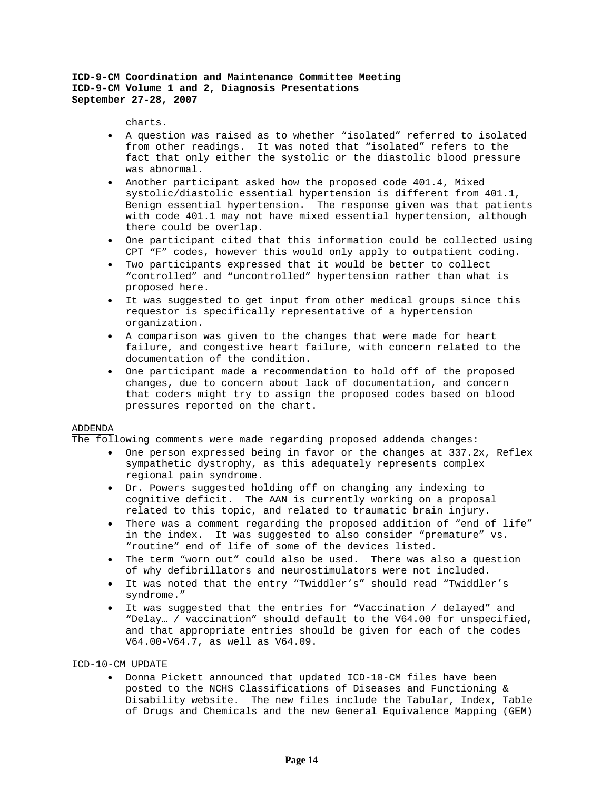charts.

- A question was raised as to whether "isolated" referred to isolated from other readings. It was noted that "isolated" refers to the fact that only either the systolic or the diastolic blood pressure was abnormal.
- Another participant asked how the proposed code 401.4, Mixed systolic/diastolic essential hypertension is different from 401.1, Benign essential hypertension. The response given was that patients with code 401.1 may not have mixed essential hypertension, although there could be overlap.
- One participant cited that this information could be collected using CPT "F" codes, however this would only apply to outpatient coding.
- Two participants expressed that it would be better to collect "controlled" and "uncontrolled" hypertension rather than what is proposed here.
- It was suggested to get input from other medical groups since this requestor is specifically representative of a hypertension organization.
- A comparison was given to the changes that were made for heart failure, and congestive heart failure, with concern related to the documentation of the condition.
- One participant made a recommendation to hold off of the proposed changes, due to concern about lack of documentation, and concern that coders might try to assign the proposed codes based on blood pressures reported on the chart.

### ADDENDA

The following comments were made regarding proposed addenda changes:

- One person expressed being in favor or the changes at 337.2x, Reflex sympathetic dystrophy, as this adequately represents complex regional pain syndrome.
- Dr. Powers suggested holding off on changing any indexing to cognitive deficit. The AAN is currently working on a proposal related to this topic, and related to traumatic brain injury.
- There was a comment regarding the proposed addition of "end of life" in the index. It was suggested to also consider "premature" vs. "routine" end of life of some of the devices listed.
- The term "worn out" could also be used. There was also a question of why defibrillators and neurostimulators were not included.
- It was noted that the entry "Twiddler's" should read "Twiddler's syndrome."
- It was suggested that the entries for "Vaccination / delayed" and "Delay… / vaccination" should default to the V64.00 for unspecified, and that appropriate entries should be given for each of the codes V64.00-V64.7, as well as V64.09.

### ICD-10-CM UPDATE

• Donna Pickett announced that updated ICD-10-CM files have been posted to the NCHS Classifications of Diseases and Functioning & Disability website. The new files include the Tabular, Index, Table of Drugs and Chemicals and the new General Equivalence Mapping (GEM)